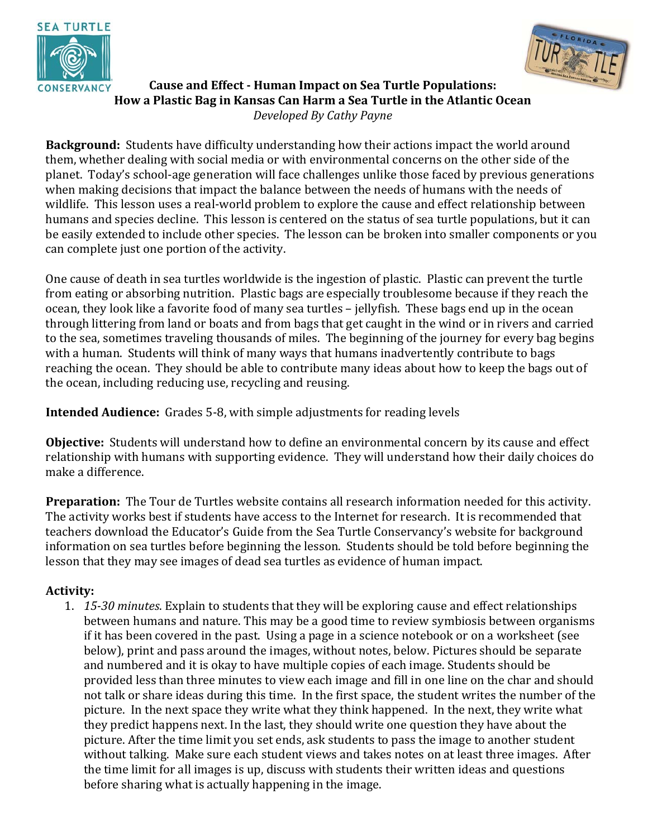



**Cause and Effect - Human Impact on Sea Turtle Populations: How a Plastic Bag in Kansas Can Harm a Sea Turtle in the Atlantic Ocean**  *Developed By Cathy Payne* 

**Background:** Students have difficulty understanding how their actions impact the world around them, whether dealing with social media or with environmental concerns on the other side of the planet. Today's school-age generation will face challenges unlike those faced by previous generations when making decisions that impact the balance between the needs of humans with the needs of wildlife. This lesson uses a real-world problem to explore the cause and effect relationship between humans and species decline. This lesson is centered on the status of sea turtle populations, but it can be easily extended to include other species. The lesson can be broken into smaller components or you can complete just one portion of the activity.

One cause of death in sea turtles worldwide is the ingestion of plastic. Plastic can prevent the turtle from eating or absorbing nutrition. Plastic bags are especially troublesome because if they reach the ocean, they look like a favorite food of many sea turtles – jellyfish. These bags end up in the ocean through littering from land or boats and from bags that get caught in the wind or in rivers and carried to the sea, sometimes traveling thousands of miles. The beginning of the journey for every bag begins with a human. Students will think of many ways that humans inadvertently contribute to bags reaching the ocean. They should be able to contribute many ideas about how to keep the bags out of the ocean, including reducing use, recycling and reusing.

**Intended Audience:** Grades 5-8, with simple adjustments for reading levels

**Objective:** Students will understand how to define an environmental concern by its cause and effect relationship with humans with supporting evidence. They will understand how their daily choices do make a difference.

**Preparation:** The Tour de Turtles website contains all research information needed for this activity. The activity works best if students have access to the Internet for research. It is recommended that teachers download the Educator's Guide from the Sea Turtle Conservancy's website for background information on sea turtles before beginning the lesson. Students should be told before beginning the lesson that they may see images of dead sea turtles as evidence of human impact.

## **Activity:**

1. *15-30 minutes*. Explain to students that they will be exploring cause and effect relationships between humans and nature. This may be a good time to review symbiosis between organisms if it has been covered in the past. Using a page in a science notebook or on a worksheet (see below), print and pass around the images, without notes, below. Pictures should be separate and numbered and it is okay to have multiple copies of each image. Students should be provided less than three minutes to view each image and fill in one line on the char and should not talk or share ideas during this time. In the first space, the student writes the number of the picture. In the next space they write what they think happened. In the next, they write what they predict happens next. In the last, they should write one question they have about the picture. After the time limit you set ends, ask students to pass the image to another student without talking. Make sure each student views and takes notes on at least three images. After the time limit for all images is up, discuss with students their written ideas and questions before sharing what is actually happening in the image.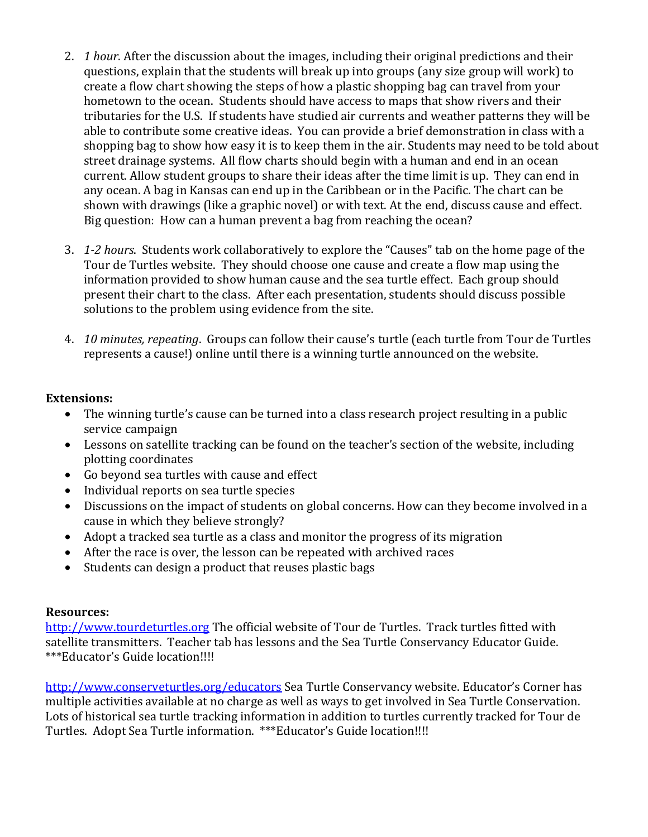- 2. *1 hour*. After the discussion about the images, including their original predictions and their questions, explain that the students will break up into groups (any size group will work) to create a flow chart showing the steps of how a plastic shopping bag can travel from your hometown to the ocean. Students should have access to maps that show rivers and their tributaries for the U.S. If students have studied air currents and weather patterns they will be able to contribute some creative ideas. You can provide a brief demonstration in class with a shopping bag to show how easy it is to keep them in the air. Students may need to be told about street drainage systems. All flow charts should begin with a human and end in an ocean current. Allow student groups to share their ideas after the time limit is up. They can end in any ocean. A bag in Kansas can end up in the Caribbean or in the Pacific. The chart can be shown with drawings (like a graphic novel) or with text. At the end, discuss cause and effect. Big question: How can a human prevent a bag from reaching the ocean?
- 3. *1-2 hours*. Students work collaboratively to explore the "Causes" tab on the home page of the Tour de Turtles website. They should choose one cause and create a flow map using the information provided to show human cause and the sea turtle effect. Each group should present their chart to the class. After each presentation, students should discuss possible solutions to the problem using evidence from the site.
- 4. *10 minutes, repeating*. Groups can follow their cause's turtle (each turtle from Tour de Turtles represents a cause!) online until there is a winning turtle announced on the website.

## **Extensions:**

- The winning turtle's cause can be turned into a class research project resulting in a public service campaign
- Lessons on satellite tracking can be found on the teacher's section of the website, including plotting coordinates
- Go beyond sea turtles with cause and effect
- Individual reports on sea turtle species
- Discussions on the impact of students on global concerns. How can they become involved in a cause in which they believe strongly?
- Adopt a tracked sea turtle as a class and monitor the progress of its migration
- After the race is over, the lesson can be repeated with archived races
- Students can design a product that reuses plastic bags

## **Resources:**

http://www.tourdeturtles.org The official website of Tour de Turtles. Track turtles fitted with satellite transmitters. Teacher tab has lessons and the Sea Turtle Conservancy Educator Guide. \*\*\*Educator's Guide location!!!!

http://www.conserveturtles.org/educators Sea Turtle Conservancy website. Educator's Corner has multiple activities available at no charge as well as ways to get involved in Sea Turtle Conservation. Lots of historical sea turtle tracking information in addition to turtles currently tracked for Tour de Turtles. Adopt Sea Turtle information. \*\*\*Educator's Guide location!!!!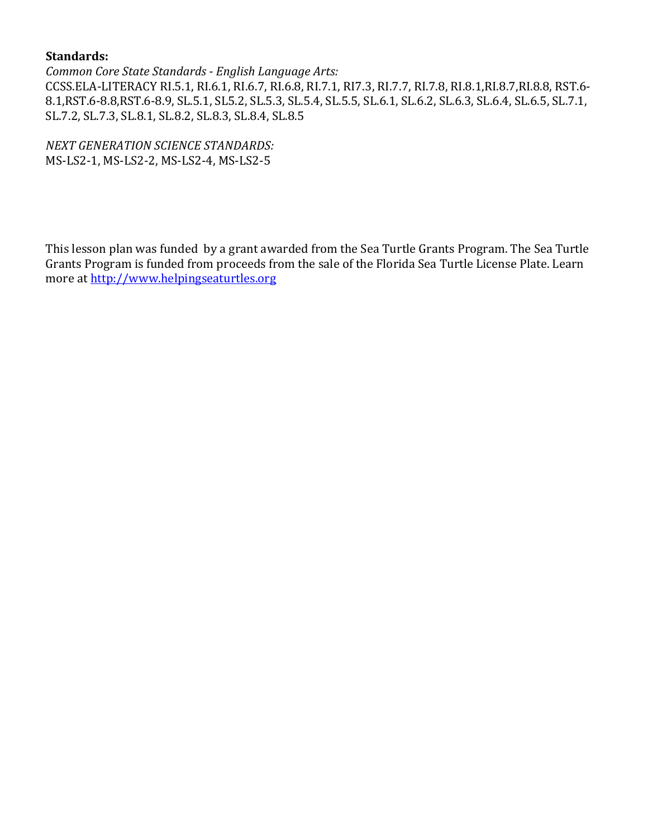## **Standards:**

*Common Core State Standards - English Language Arts:*  CCSS.ELA-LITERACY RI.5.1, RI.6.1, RI.6.7, RI.6.8, RI.7.1, RI7.3, RI.7.7, RI.7.8, RI.8.1,RI.8.7,RI.8.8, RST.6- 8.1,RST.6-8.8,RST.6-8.9, SL.5.1, SL5.2, SL.5.3, SL.5.4, SL.5.5, SL.6.1, SL.6.2, SL.6.3, SL.6.4, SL.6.5, SL.7.1, SL.7.2, SL.7.3, SL.8.1, SL.8.2, SL.8.3, SL.8.4, SL.8.5

*NEXT GENERATION SCIENCE STANDARDS:*  MS-LS2-1, MS-LS2-2, MS-LS2-4, MS-LS2-5

This lesson plan was funded by a grant awarded from the Sea Turtle Grants Program. The Sea Turtle Grants Program is funded from proceeds from the sale of the Florida Sea Turtle License Plate. Learn more at http://www.helpingseaturtles.org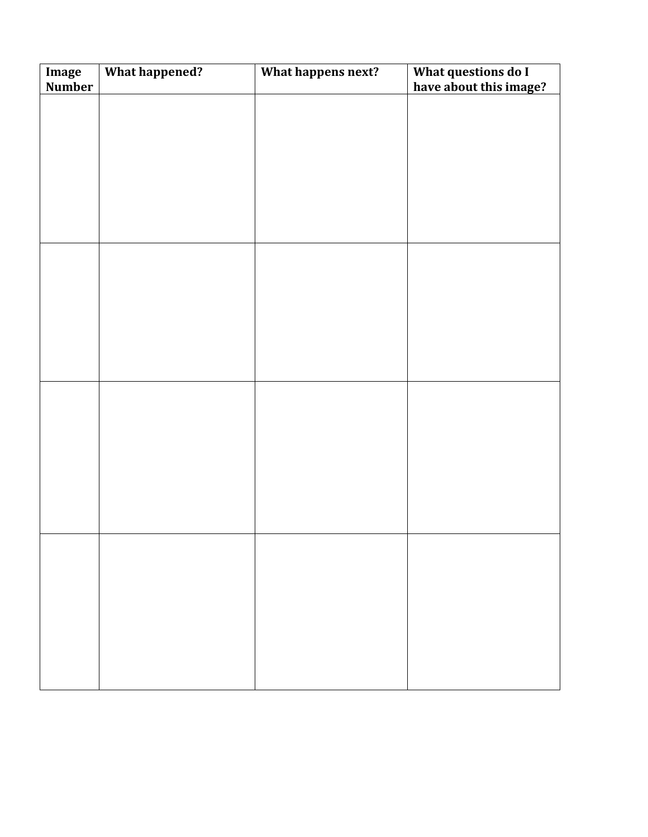| Image<br>Number | <b>What happened?</b> | What happens next? | What questions do I<br>have about this image? |
|-----------------|-----------------------|--------------------|-----------------------------------------------|
|                 |                       |                    |                                               |
|                 |                       |                    |                                               |
|                 |                       |                    |                                               |
|                 |                       |                    |                                               |
|                 |                       |                    |                                               |
|                 |                       |                    |                                               |
|                 |                       |                    |                                               |
|                 |                       |                    |                                               |
|                 |                       |                    |                                               |
|                 |                       |                    |                                               |
|                 |                       |                    |                                               |
|                 |                       |                    |                                               |
|                 |                       |                    |                                               |
|                 |                       |                    |                                               |
|                 |                       |                    |                                               |
|                 |                       |                    |                                               |
|                 |                       |                    |                                               |
|                 |                       |                    |                                               |
|                 |                       |                    |                                               |
|                 |                       |                    |                                               |
|                 |                       |                    |                                               |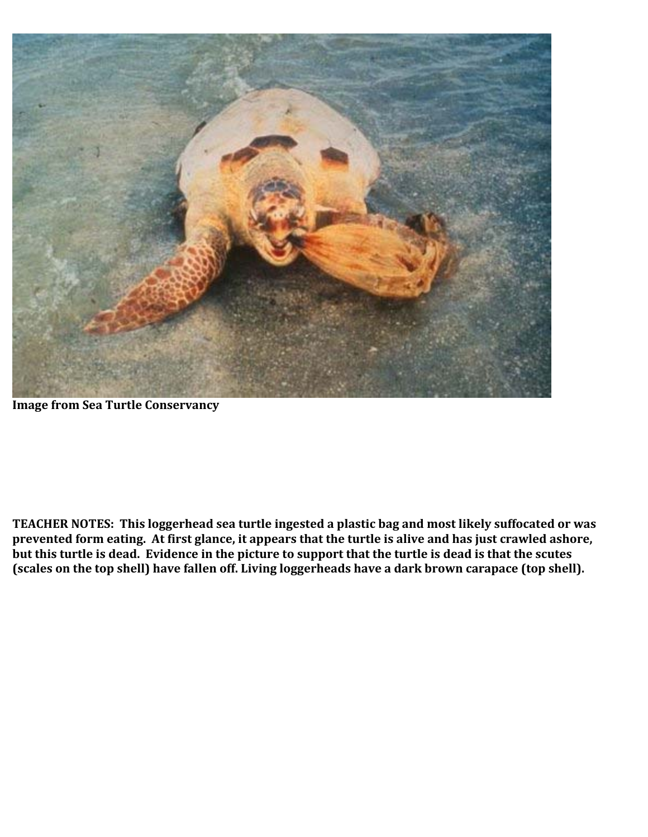

**Image from Sea Turtle Conservancy** 

**TEACHER NOTES: This loggerhead sea turtle ingested a plastic bag and most likely suffocated or was prevented form eating. At first glance, it appears that the turtle is alive and has just crawled ashore, but this turtle is dead. Evidence in the picture to support that the turtle is dead is that the scutes (scales on the top shell) have fallen off. Living loggerheads have a dark brown carapace (top shell).**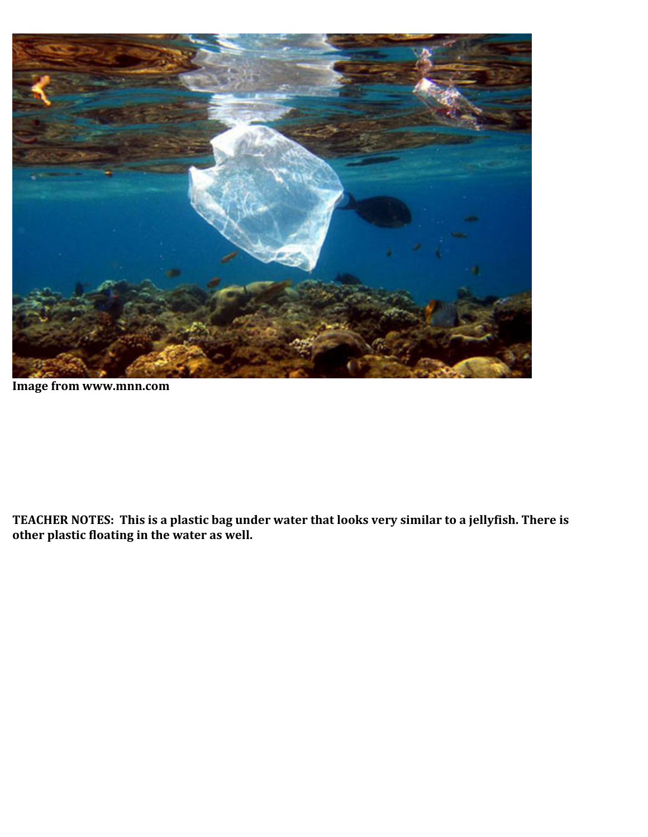

**Image from www.mnn.com** 

**TEACHER NOTES: This is a plastic bag under water that looks very similar to a jellyfish. There is other plastic floating in the water as well.**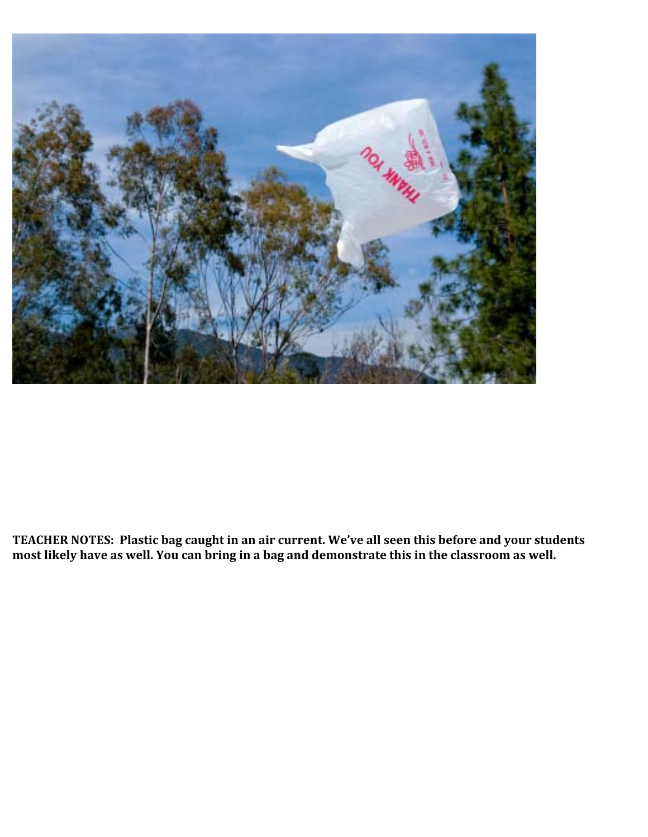

**TEACHER NOTES: Plastic bag caught in an air current. We've all seen this before and your students most likely have as well. You can bring in a bag and demonstrate this in the classroom as well.**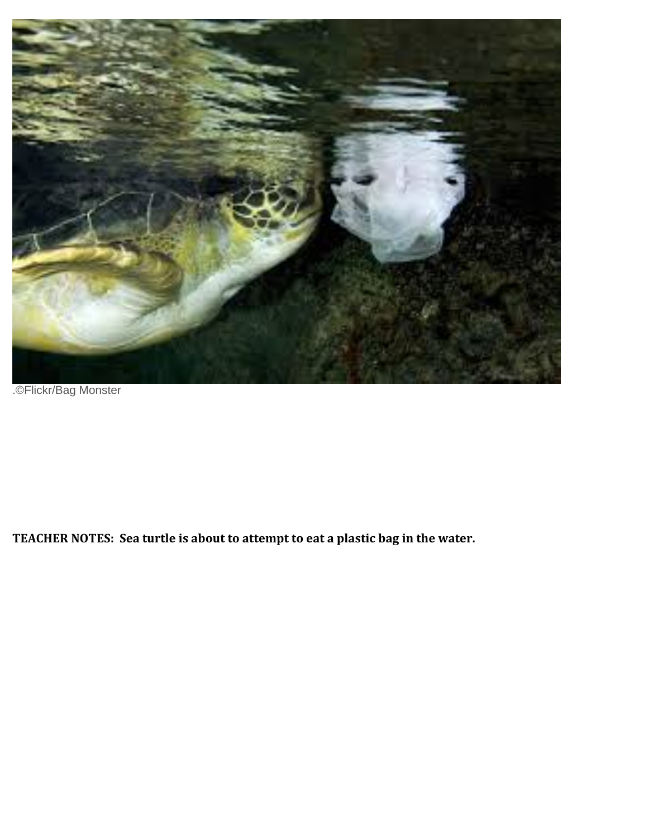

.©Flickr/Bag Monster

**TEACHER NOTES: Sea turtle is about to attempt to eat a plastic bag in the water.**